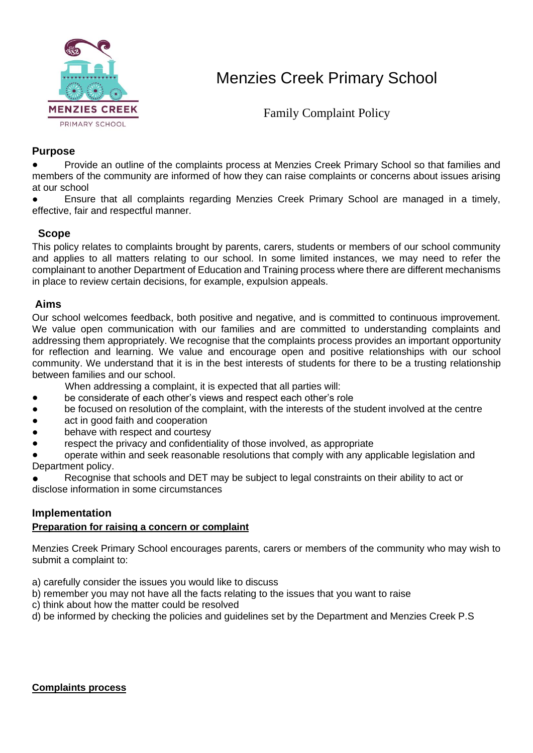

# Menzies Creek Primary School

Family Complaint Policy

## **Purpose**

Provide an outline of the complaints process at Menzies Creek Primary School so that families and members of the community are informed of how they can raise complaints or concerns about issues arising at our school

Ensure that all complaints regarding Menzies Creek Primary School are managed in a timely, effective, fair and respectful manner.

## **Scope**

This policy relates to complaints brought by parents, carers, students or members of our school community and applies to all matters relating to our school. In some limited instances, we may need to refer the complainant to another Department of Education and Training process where there are different mechanisms in place to review certain decisions, for example, expulsion appeals.

## **Aims**

Our school welcomes feedback, both positive and negative, and is committed to continuous improvement. We value open communication with our families and are committed to understanding complaints and addressing them appropriately. We recognise that the complaints process provides an important opportunity for reflection and learning. We value and encourage open and positive relationships with our school community. We understand that it is in the best interests of students for there to be a trusting relationship between families and our school.

When addressing a complaint, it is expected that all parties will:

- be considerate of each other's views and respect each other's role
- be focused on resolution of the complaint, with the interests of the student involved at the centre
- act in good faith and cooperation
- behave with respect and courtesy
- respect the privacy and confidentiality of those involved, as appropriate

operate within and seek reasonable resolutions that comply with any applicable legislation and Department policy.

Recognise that schools and DET may be subject to legal constraints on their ability to act or disclose information in some circumstances

## **Implementation**

### **Preparation for raising a concern or complaint**

Menzies Creek Primary School encourages parents, carers or members of the community who may wish to submit a complaint to:

- a) carefully consider the issues you would like to discuss
- b) remember you may not have all the facts relating to the issues that you want to raise
- c) think about how the matter could be resolved
- d) be informed by checking the policies and guidelines set by the Department and Menzies Creek P.S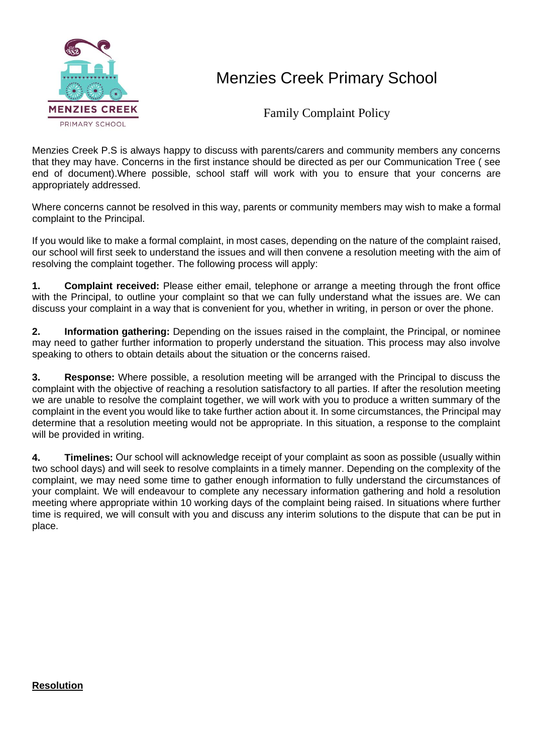

## Menzies Creek Primary School

Family Complaint Policy

Menzies Creek P.S is always happy to discuss with parents/carers and community members any concerns that they may have. Concerns in the first instance should be directed as per our Communication Tree ( see end of document).Where possible, school staff will work with you to ensure that your concerns are appropriately addressed.

Where concerns cannot be resolved in this way, parents or community members may wish to make a formal complaint to the Principal.

If you would like to make a formal complaint, in most cases, depending on the nature of the complaint raised, our school will first seek to understand the issues and will then convene a resolution meeting with the aim of resolving the complaint together. The following process will apply:

**1. Complaint received:** Please either email, telephone or arrange a meeting through the front office with the Principal, to outline your complaint so that we can fully understand what the issues are. We can discuss your complaint in a way that is convenient for you, whether in writing, in person or over the phone.

**2. Information gathering:** Depending on the issues raised in the complaint, the Principal, or nominee may need to gather further information to properly understand the situation. This process may also involve speaking to others to obtain details about the situation or the concerns raised.

**3. Response:** Where possible, a resolution meeting will be arranged with the Principal to discuss the complaint with the objective of reaching a resolution satisfactory to all parties. If after the resolution meeting we are unable to resolve the complaint together, we will work with you to produce a written summary of the complaint in the event you would like to take further action about it. In some circumstances, the Principal may determine that a resolution meeting would not be appropriate. In this situation, a response to the complaint will be provided in writing.

**4. Timelines:** Our school will acknowledge receipt of your complaint as soon as possible (usually within two school days) and will seek to resolve complaints in a timely manner. Depending on the complexity of the complaint, we may need some time to gather enough information to fully understand the circumstances of your complaint. We will endeavour to complete any necessary information gathering and hold a resolution meeting where appropriate within 10 working days of the complaint being raised. In situations where further time is required, we will consult with you and discuss any interim solutions to the dispute that can be put in place.